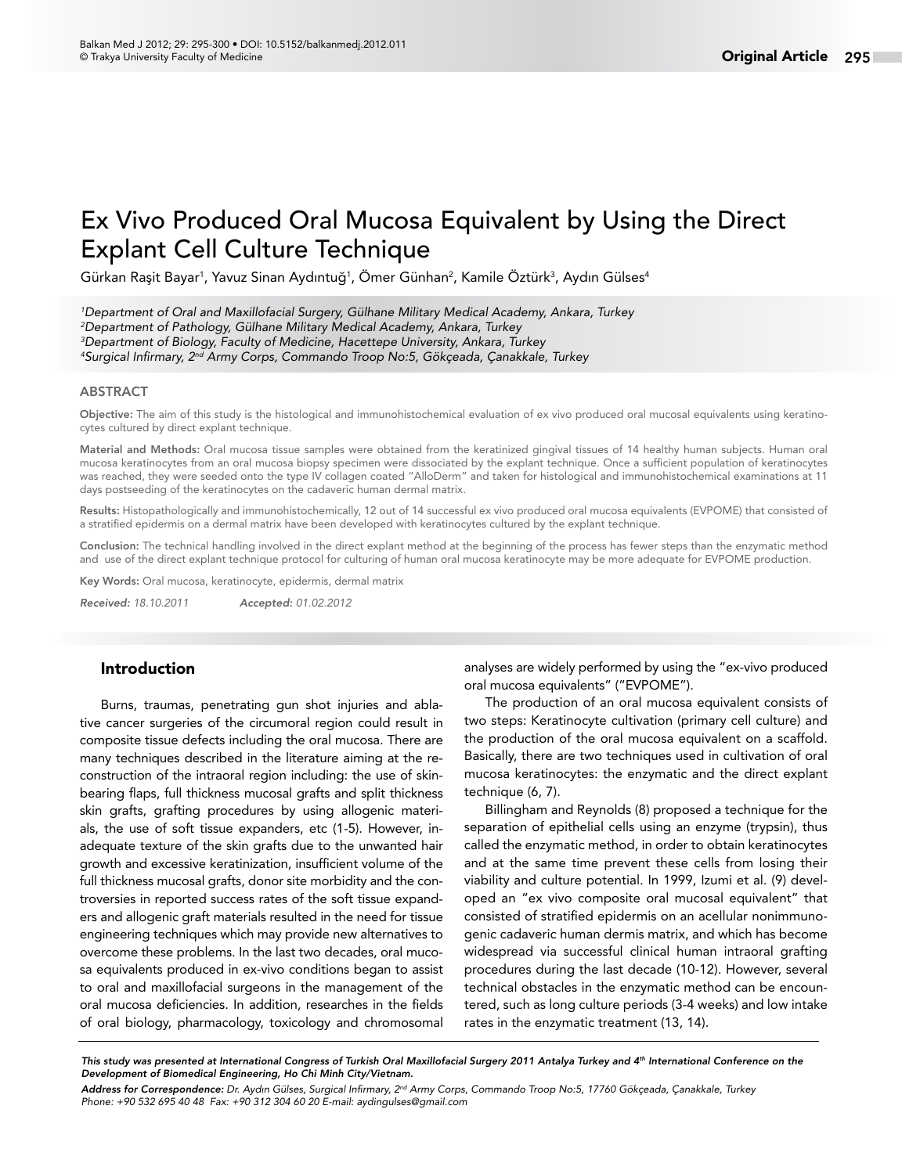# Ex Vivo Produced Oral Mucosa Equivalent by Using the Direct Explant Cell Culture Technique

Gürkan Raşit Bayar<sup>ı</sup>, Yavuz Sinan Aydıntuğ<sup>ı</sup>, Ömer Günhan<sup>2</sup>, Kamile Öztürk<sup>3</sup>, Aydın Gülses<sup>4</sup>

 *Department of Oral and Maxillofacial Surgery, Gülhane Military Medical Academy, Ankara, Turkey Department of Pathology, Gülhane Military Medical Academy, Ankara, Turkey Department of Biology, Faculty of Medicine, Hacettepe University, Ankara, Turkey Surgical Infirmary, 2nd Army Corps, Commando Troop No:5, Gökçeada, Çanakkale, Turkey*

#### ABSTRACT

Objective: The aim of this study is the histological and immunohistochemical evaluation of ex vivo produced oral mucosal equivalents using keratinocytes cultured by direct explant technique.

Material and Methods: Oral mucosa tissue samples were obtained from the keratinized gingival tissues of 14 healthy human subjects. Human oral mucosa keratinocytes from an oral mucosa biopsy specimen were dissociated by the explant technique. Once a sufficient population of keratinocytes was reached, they were seeded onto the type IV collagen coated "AlloDerm" and taken for histological and immunohistochemical examinations at 11 days postseeding of the keratinocytes on the cadaveric human dermal matrix.

Results: Histopathologically and immunohistochemically, 12 out of 14 successful ex vivo produced oral mucosa equivalents (EVPOME) that consisted of a stratified epidermis on a dermal matrix have been developed with keratinocytes cultured by the explant technique.

Conclusion: The technical handling involved in the direct explant method at the beginning of the process has fewer steps than the enzymatic method and use of the direct explant technique protocol for culturing of human oral mucosa keratinocyte may be more adequate for EVPOME production.

Key Words: Oral mucosa, keratinocyte, epidermis, dermal matrix

*Received: 18.10.2011 Accepted: 01.02.2012*

#### Introduction

Burns, traumas, penetrating gun shot injuries and ablative cancer surgeries of the circumoral region could result in composite tissue defects including the oral mucosa. There are many techniques described in the literature aiming at the reconstruction of the intraoral region including: the use of skinbearing flaps, full thickness mucosal grafts and split thickness skin grafts, grafting procedures by using allogenic materials, the use of soft tissue expanders, etc (1-5). However, inadequate texture of the skin grafts due to the unwanted hair growth and excessive keratinization, insufficient volume of the full thickness mucosal grafts, donor site morbidity and the controversies in reported success rates of the soft tissue expanders and allogenic graft materials resulted in the need for tissue engineering techniques which may provide new alternatives to overcome these problems. In the last two decades, oral mucosa equivalents produced in ex-vivo conditions began to assist to oral and maxillofacial surgeons in the management of the oral mucosa deficiencies. In addition, researches in the fields of oral biology, pharmacology, toxicology and chromosomal analyses are widely performed by using the "ex-vivo produced oral mucosa equivalents" ("EVPOME").

The production of an oral mucosa equivalent consists of two steps: Keratinocyte cultivation (primary cell culture) and the production of the oral mucosa equivalent on a scaffold. Basically, there are two techniques used in cultivation of oral mucosa keratinocytes: the enzymatic and the direct explant technique (6, 7).

Billingham and Reynolds (8) proposed a technique for the separation of epithelial cells using an enzyme (trypsin), thus called the enzymatic method, in order to obtain keratinocytes and at the same time prevent these cells from losing their viability and culture potential. In 1999, Izumi et al. (9) developed an "ex vivo composite oral mucosal equivalent" that consisted of stratified epidermis on an acellular nonimmunogenic cadaveric human dermis matrix, and which has become widespread via successful clinical human intraoral grafting procedures during the last decade (10-12). However, several technical obstacles in the enzymatic method can be encountered, such as long culture periods (3-4 weeks) and low intake rates in the enzymatic treatment (13, 14).

This study was presented at International Congress of Turkish Oral Maxillofacial Surgery 2011 Antalya Turkey and 4<sup>th</sup> International Conference on the *Development of Biomedical Engineering, Ho Chi Minh City/Vietnam.*

*Address for Correspondence: Dr. Aydın Gülses, Surgical Infirmary, 2nd Army Corps, Commando Troop No:5, 17760 Gökçeada, Çanakkale, Turkey Phone: +90 532 695 40 48 Fax: +90 312 304 60 20 E-mail: aydingulses@gmail.com*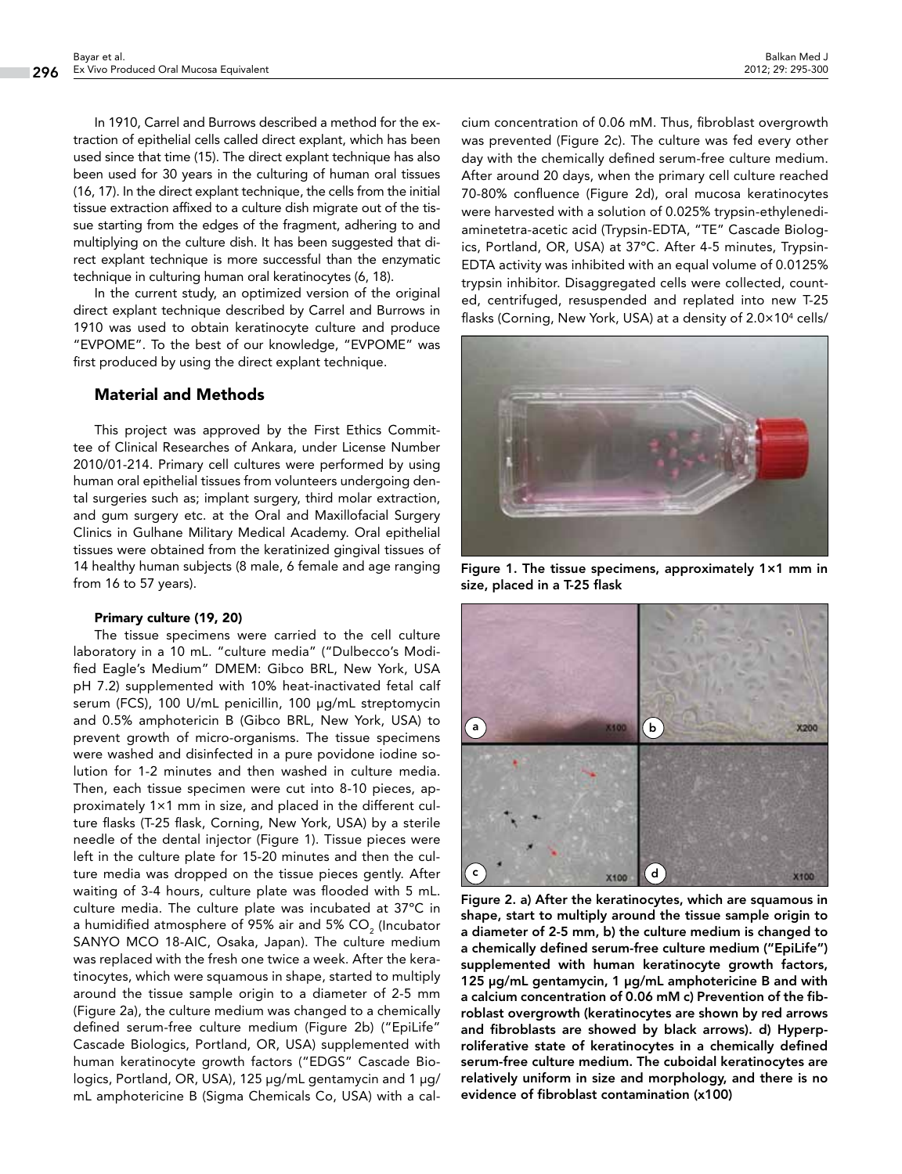In 1910, Carrel and Burrows described a method for the extraction of epithelial cells called direct explant, which has been used since that time (15). The direct explant technique has also been used for 30 years in the culturing of human oral tissues (16, 17). In the direct explant technique, the cells from the initial tissue extraction affixed to a culture dish migrate out of the tissue starting from the edges of the fragment, adhering to and multiplying on the culture dish. It has been suggested that direct explant technique is more successful than the enzymatic technique in culturing human oral keratinocytes (6, 18).

In the current study, an optimized version of the original direct explant technique described by Carrel and Burrows in 1910 was used to obtain keratinocyte culture and produce "EVPOME". To the best of our knowledge, "EVPOME" was first produced by using the direct explant technique.

## Material and Methods

This project was approved by the First Ethics Committee of Clinical Researches of Ankara, under License Number 2010/01-214. Primary cell cultures were performed by using human oral epithelial tissues from volunteers undergoing dental surgeries such as; implant surgery, third molar extraction, and gum surgery etc. at the Oral and Maxillofacial Surgery Clinics in Gulhane Military Medical Academy. Oral epithelial tissues were obtained from the keratinized gingival tissues of 14 healthy human subjects (8 male, 6 female and age ranging from 16 to 57 years).

## Primary culture (19, 20)

The tissue specimens were carried to the cell culture laboratory in a 10 mL. "culture media" ("Dulbecco's Modified Eagle's Medium" DMEM: Gibco BRL, New York, USA pH 7.2) supplemented with 10% heat-inactivated fetal calf serum (FCS), 100 U/mL penicillin, 100 µg/mL streptomycin and 0.5% amphotericin B (Gibco BRL, New York, USA) to prevent growth of micro-organisms. The tissue specimens were washed and disinfected in a pure povidone iodine solution for 1-2 minutes and then washed in culture media. Then, each tissue specimen were cut into 8-10 pieces, approximately 1×1 mm in size, and placed in the different culture flasks (T-25 flask, Corning, New York, USA) by a sterile needle of the dental injector (Figure 1). Tissue pieces were left in the culture plate for 15-20 minutes and then the culture media was dropped on the tissue pieces gently. After waiting of 3-4 hours, culture plate was flooded with 5 mL. culture media. The culture plate was incubated at 37ºC in a humidified atmosphere of 95% air and 5% CO $_{_{2}}$  (Incubator SANYO MCO 18-AIC, Osaka, Japan). The culture medium was replaced with the fresh one twice a week. After the keratinocytes, which were squamous in shape, started to multiply around the tissue sample origin to a diameter of 2-5 mm (Figure 2a), the culture medium was changed to a chemically defined serum-free culture medium (Figure 2b) ("EpiLife" Cascade Biologics, Portland, OR, USA) supplemented with human keratinocyte growth factors ("EDGS" Cascade Biologics, Portland, OR, USA), 125 µg/mL gentamycin and 1 µg/ mL amphotericine B (Sigma Chemicals Co, USA) with a cal-

cium concentration of 0.06 mM. Thus, fibroblast overgrowth was prevented (Figure 2c). The culture was fed every other day with the chemically defined serum-free culture medium. After around 20 days, when the primary cell culture reached 70-80% confluence (Figure 2d), oral mucosa keratinocytes were harvested with a solution of 0.025% trypsin-ethylenediaminetetra-acetic acid (Trypsin-EDTA, "TE" Cascade Biologics, Portland, OR, USA) at 37ºC. After 4-5 minutes, Trypsin-EDTA activity was inhibited with an equal volume of 0.0125% trypsin inhibitor. Disaggregated cells were collected, counted, centrifuged, resuspended and replated into new T-25 flasks (Corning, New York, USA) at a density of 2.0×104 cells/



Figure 1. The tissue specimens, approximately 1×1 mm in size, placed in a T-25 flask



Figure 2. a) After the keratinocytes, which are squamous in shape, start to multiply around the tissue sample origin to a diameter of 2-5 mm, b) the culture medium is changed to a chemically defined serum-free culture medium ("EpiLife") supplemented with human keratinocyte growth factors, 125 µg/mL gentamycin, 1 µg/mL amphotericine B and with a calcium concentration of 0.06 mM c) Prevention of the fibroblast overgrowth (keratinocytes are shown by red arrows and fibroblasts are showed by black arrows). d) Hyperproliferative state of keratinocytes in a chemically defined serum-free culture medium. The cuboidal keratinocytes are relatively uniform in size and morphology, and there is no evidence of fibroblast contamination (x100)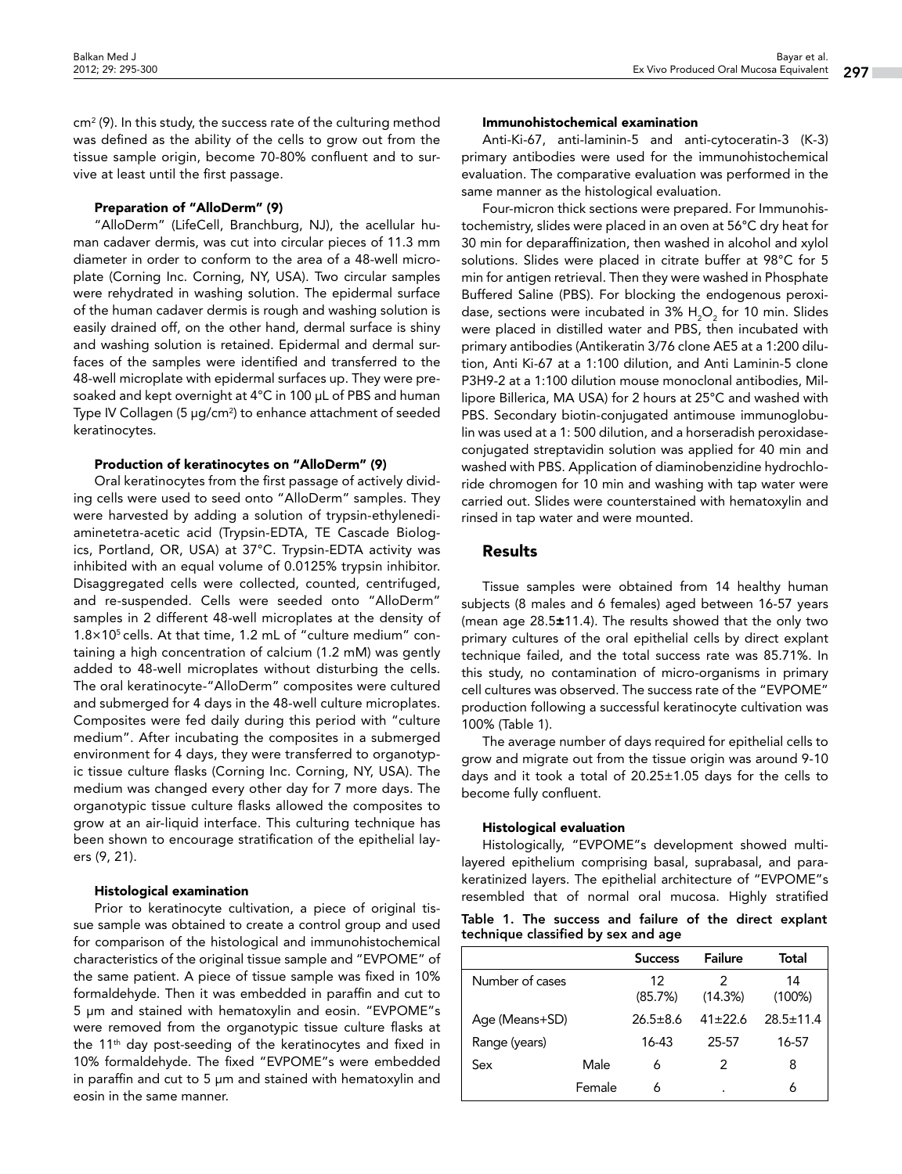cm2 (9). In this study, the success rate of the culturing method was defined as the ability of the cells to grow out from the tissue sample origin, become 70-80% confluent and to survive at least until the first passage.

## Preparation of "AlloDerm" (9)

"AlloDerm" (LifeCell, Branchburg, NJ), the acellular human cadaver dermis, was cut into circular pieces of 11.3 mm diameter in order to conform to the area of a 48-well microplate (Corning Inc. Corning, NY, USA). Two circular samples were rehydrated in washing solution. The epidermal surface of the human cadaver dermis is rough and washing solution is easily drained off, on the other hand, dermal surface is shiny and washing solution is retained. Epidermal and dermal surfaces of the samples were identified and transferred to the 48-well microplate with epidermal surfaces up. They were presoaked and kept overnight at 4°C in 100 μL of PBS and human Type IV Collagen (5 μg/cm2 ) to enhance attachment of seeded keratinocytes.

## Production of keratinocytes on "AlloDerm" (9)

Oral keratinocytes from the first passage of actively dividing cells were used to seed onto "AlloDerm" samples. They were harvested by adding a solution of trypsin-ethylenediaminetetra-acetic acid (Trypsin-EDTA, TE Cascade Biologics, Portland, OR, USA) at 37°C. Trypsin-EDTA activity was inhibited with an equal volume of 0.0125% trypsin inhibitor. Disaggregated cells were collected, counted, centrifuged, and re-suspended. Cells were seeded onto "AlloDerm" samples in 2 different 48-well microplates at the density of  $1.8\times10^5$  cells. At that time, 1.2 mL of "culture medium" containing a high concentration of calcium (1.2 mM) was gently added to 48-well microplates without disturbing the cells. The oral keratinocyte-"AlloDerm" composites were cultured and submerged for 4 days in the 48-well culture microplates. Composites were fed daily during this period with "culture medium". After incubating the composites in a submerged environment for 4 days, they were transferred to organotypic tissue culture flasks (Corning Inc. Corning, NY, USA). The medium was changed every other day for 7 more days. The organotypic tissue culture flasks allowed the composites to grow at an air-liquid interface. This culturing technique has been shown to encourage stratification of the epithelial layers (9, 21).

## Histological examination

Prior to keratinocyte cultivation, a piece of original tissue sample was obtained to create a control group and used for comparison of the histological and immunohistochemical characteristics of the original tissue sample and "EVPOME" of the same patient. A piece of tissue sample was fixed in 10% formaldehyde. Then it was embedded in paraffin and cut to 5 μm and stained with hematoxylin and eosin. "EVPOME"s were removed from the organotypic tissue culture flasks at the 11<sup>th</sup> day post-seeding of the keratinocytes and fixed in 10% formaldehyde. The fixed "EVPOME"s were embedded in paraffin and cut to 5 μm and stained with hematoxylin and eosin in the same manner.

## Immunohistochemical examination

Anti-Ki-67, anti-laminin-5 and anti-cytoceratin-3 (K-3) primary antibodies were used for the immunohistochemical evaluation. The comparative evaluation was performed in the same manner as the histological evaluation.

Four-micron thick sections were prepared. For Immunohistochemistry, slides were placed in an oven at 56°C dry heat for 30 min for deparaffinization, then washed in alcohol and xylol solutions. Slides were placed in citrate buffer at 98°C for 5 min for antigen retrieval. Then they were washed in Phosphate Buffered Saline (PBS). For blocking the endogenous peroxidase, sections were incubated in 3%  $\rm H_2O_2$  for 10 min. Slides were placed in distilled water and PBS, then incubated with primary antibodies (Antikeratin 3/76 clone AE5 at a 1:200 dilution, Anti Ki-67 at a 1:100 dilution, and Anti Laminin-5 clone P3H9-2 at a 1:100 dilution mouse monoclonal antibodies, Millipore Billerica, MA USA) for 2 hours at 25°C and washed with PBS. Secondary biotin-conjugated antimouse immunoglobulin was used at a 1: 500 dilution, and a horseradish peroxidaseconjugated streptavidin solution was applied for 40 min and washed with PBS. Application of diaminobenzidine hydrochloride chromogen for 10 min and washing with tap water were carried out. Slides were counterstained with hematoxylin and rinsed in tap water and were mounted.

## Results

Tissue samples were obtained from 14 healthy human subjects (8 males and 6 females) aged between 16-57 years (mean age 28.5±11.4). The results showed that the only two primary cultures of the oral epithelial cells by direct explant technique failed, and the total success rate was 85.71%. In this study, no contamination of micro-organisms in primary cell cultures was observed. The success rate of the "EVPOME" production following a successful keratinocyte cultivation was 100% (Table 1).

The average number of days required for epithelial cells to grow and migrate out from the tissue origin was around 9-10 days and it took a total of 20.25±1.05 days for the cells to become fully confluent.

## Histological evaluation

Histologically, "EVPOME"s development showed multilayered epithelium comprising basal, suprabasal, and parakeratinized layers. The epithelial architecture of "EVPOME"s resembled that of normal oral mucosa. Highly stratified

|  | Table 1. The success and failure of the direct explant |  |  |  |
|--|--------------------------------------------------------|--|--|--|
|  | technique classified by sex and age                    |  |  |  |

|                 |        | <b>Success</b> | <b>Failure</b> | Total           |
|-----------------|--------|----------------|----------------|-----------------|
| Number of cases |        | 12<br>(85.7%)  | (14.3%)        | 14<br>$(100\%)$ |
| Age (Means+SD)  |        | $26.5 \pm 8.6$ | $41\pm 22.6$   | $28.5 \pm 11.4$ |
| Range (years)   |        | 16-43          | 25-57          | 16-57           |
| Sex             | Male   | 6              | 2              | 8               |
|                 | Female | 6              | ٠              | 6               |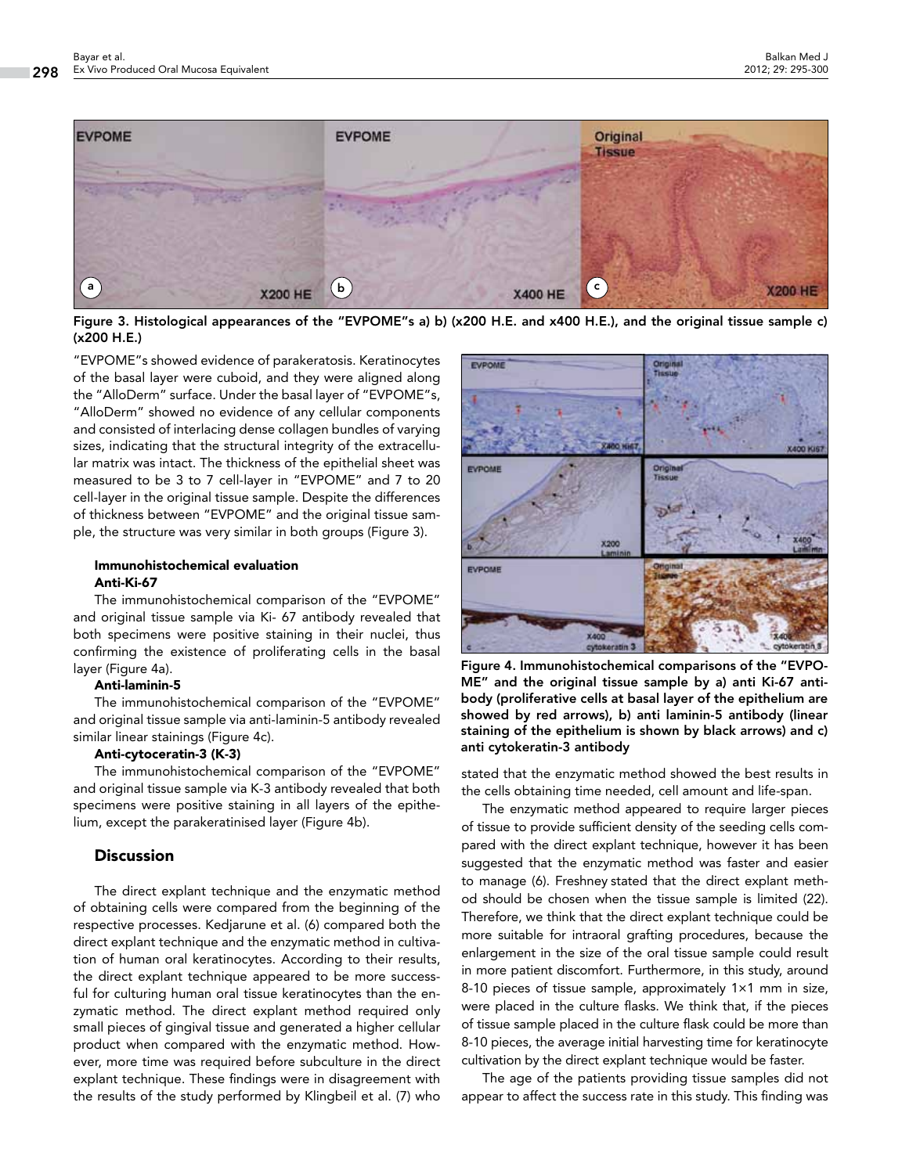

Figure 3. Histological appearances of the "EVPOME"s a) b) (x200 H.E. and x400 H.E.), and the original tissue sample c) (x200 H.E.)

"EVPOME"s showed evidence of parakeratosis. Keratinocytes of the basal layer were cuboid, and they were aligned along the "AlloDerm" surface. Under the basal layer of "EVPOME"s, "AlloDerm" showed no evidence of any cellular components and consisted of interlacing dense collagen bundles of varying sizes, indicating that the structural integrity of the extracellular matrix was intact. The thickness of the epithelial sheet was measured to be 3 to 7 cell-layer in "EVPOME" and 7 to 20 cell-layer in the original tissue sample. Despite the differences of thickness between "EVPOME" and the original tissue sample, the structure was very similar in both groups (Figure 3).

## Immunohistochemical evaluation Anti-Ki-67

The immunohistochemical comparison of the "EVPOME" and original tissue sample via Ki- 67 antibody revealed that both specimens were positive staining in their nuclei, thus confirming the existence of proliferating cells in the basal layer (Figure 4a).

## Anti-laminin-5

The immunohistochemical comparison of the "EVPOME" and original tissue sample via anti-laminin-5 antibody revealed similar linear stainings (Figure 4c).

## Anti-cytoceratin-3 (K-3)

The immunohistochemical comparison of the "EVPOME" and original tissue sample via K-3 antibody revealed that both specimens were positive staining in all layers of the epithelium, except the parakeratinised layer (Figure 4b).

## **Discussion**

The direct explant technique and the enzymatic method of obtaining cells were compared from the beginning of the respective processes. Kedjarune et al. (6) compared both the direct explant technique and the enzymatic method in cultivation of human oral keratinocytes. According to their results, the direct explant technique appeared to be more successful for culturing human oral tissue keratinocytes than the enzymatic method. The direct explant method required only small pieces of gingival tissue and generated a higher cellular product when compared with the enzymatic method. However, more time was required before subculture in the direct explant technique. These findings were in disagreement with the results of the study performed by Klingbeil et al. (7) who



Figure 4. Immunohistochemical comparisons of the "EVPO-ME" and the original tissue sample by a) anti Ki-67 antibody (proliferative cells at basal layer of the epithelium are showed by red arrows), b) anti laminin-5 antibody (linear staining of the epithelium is shown by black arrows) and c) anti cytokeratin-3 antibody

stated that the enzymatic method showed the best results in the cells obtaining time needed, cell amount and life-span.

The enzymatic method appeared to require larger pieces of tissue to provide sufficient density of the seeding cells compared with the direct explant technique, however it has been suggested that the enzymatic method was faster and easier to manage (6). Freshney stated that the direct explant method should be chosen when the tissue sample is limited (22). Therefore, we think that the direct explant technique could be more suitable for intraoral grafting procedures, because the enlargement in the size of the oral tissue sample could result in more patient discomfort. Furthermore, in this study, around 8-10 pieces of tissue sample, approximately 1×1 mm in size, were placed in the culture flasks. We think that, if the pieces of tissue sample placed in the culture flask could be more than 8-10 pieces, the average initial harvesting time for keratinocyte cultivation by the direct explant technique would be faster.

The age of the patients providing tissue samples did not appear to affect the success rate in this study. This finding was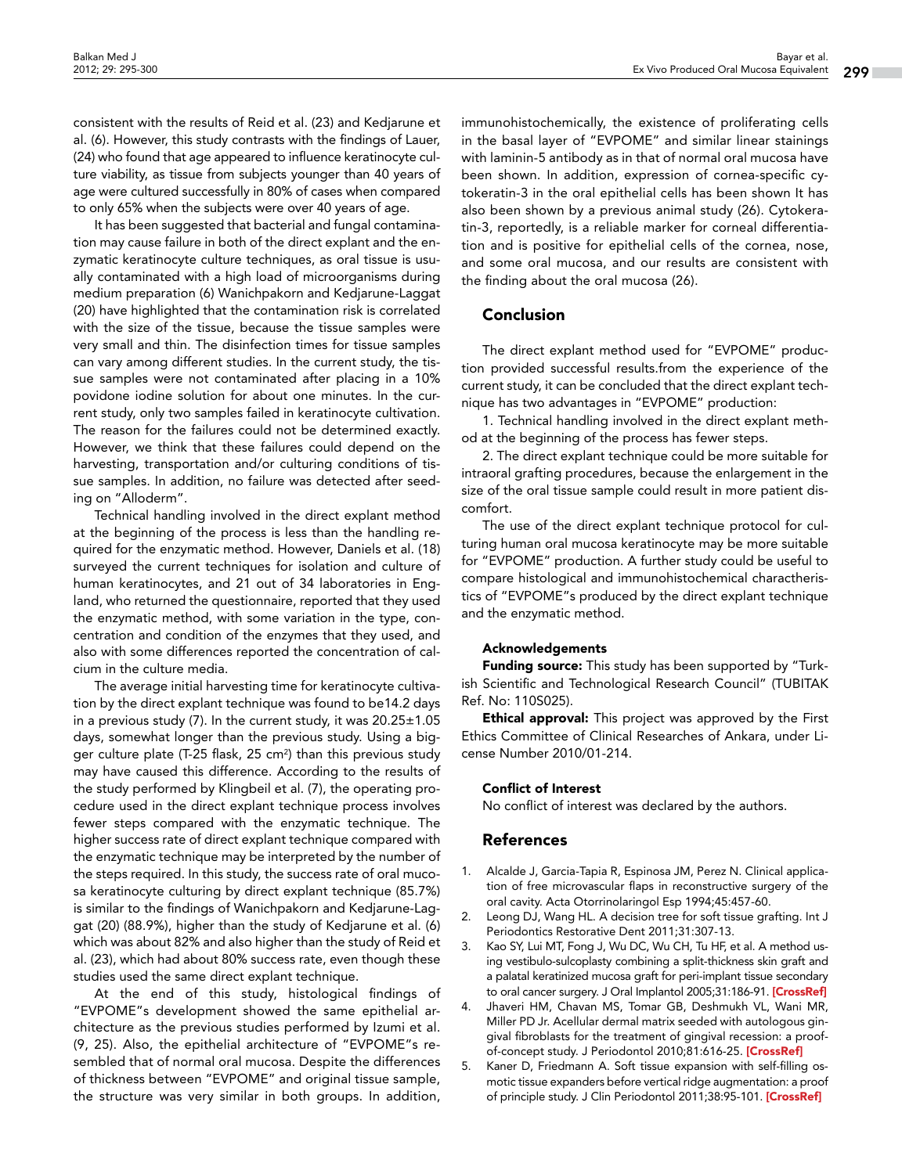consistent with the results of Reid et al. (23) and Kedjarune et al. (6). However, this study contrasts with the findings of Lauer, (24) who found that age appeared to influence keratinocyte culture viability, as tissue from subjects younger than 40 years of age were cultured successfully in 80% of cases when compared to only 65% when the subjects were over 40 years of age.

It has been suggested that bacterial and fungal contamination may cause failure in both of the direct explant and the enzymatic keratinocyte culture techniques, as oral tissue is usually contaminated with a high load of microorganisms during medium preparation (6) Wanichpakorn and Kedjarune-Laggat (20) have highlighted that the contamination risk is correlated with the size of the tissue, because the tissue samples were very small and thin. The disinfection times for tissue samples can vary among different studies. In the current study, the tissue samples were not contaminated after placing in a 10% povidone iodine solution for about one minutes. In the current study, only two samples failed in keratinocyte cultivation. The reason for the failures could not be determined exactly. However, we think that these failures could depend on the harvesting, transportation and/or culturing conditions of tissue samples. In addition, no failure was detected after seeding on "Alloderm".

Technical handling involved in the direct explant method at the beginning of the process is less than the handling required for the enzymatic method. However, Daniels et al. (18) surveyed the current techniques for isolation and culture of human keratinocytes, and 21 out of 34 laboratories in England, who returned the questionnaire, reported that they used the enzymatic method, with some variation in the type, concentration and condition of the enzymes that they used, and also with some differences reported the concentration of calcium in the culture media.

The average initial harvesting time for keratinocyte cultivation by the direct explant technique was found to be14.2 days in a previous study  $(7)$ . In the current study, it was  $20.25 \pm 1.05$ days, somewhat longer than the previous study. Using a bigger culture plate (T-25 flask, 25 cm<sup>2</sup>) than this previous study may have caused this difference. According to the results of the study performed by Klingbeil et al. (7), the operating procedure used in the direct explant technique process involves fewer steps compared with the enzymatic technique. The higher success rate of direct explant technique compared with the enzymatic technique may be interpreted by the number of the steps required. In this study, the success rate of oral mucosa keratinocyte culturing by direct explant technique (85.7%) is similar to the findings of Wanichpakorn and Kedjarune-Laggat (20) (88.9%), higher than the study of Kedjarune et al. (6) which was about 82% and also higher than the study of Reid et al. (23), which had about 80% success rate, even though these studies used the same direct explant technique.

At the end of this study, histological findings of "EVPOME"s development showed the same epithelial architecture as the previous studies performed by Izumi et al. (9, 25). Also, the epithelial architecture of "EVPOME"s resembled that of normal oral mucosa. Despite the differences of thickness between "EVPOME" and original tissue sample, the structure was very similar in both groups. In addition,

immunohistochemically, the existence of proliferating cells in the basal layer of "EVPOME" and similar linear stainings with laminin-5 antibody as in that of normal oral mucosa have been shown. In addition, expression of cornea-specific cytokeratin-3 in the oral epithelial cells has been shown It has also been shown by a previous animal study (26). Cytokeratin-3, reportedly, is a reliable marker for corneal differentiation and is positive for epithelial cells of the cornea, nose, and some oral mucosa, and our results are consistent with the finding about the oral mucosa (26).

## Conclusion

The direct explant method used for "EVPOME" production provided successful results.from the experience of the current study, it can be concluded that the direct explant technique has two advantages in "EVPOME" production:

1. Technical handling involved in the direct explant method at the beginning of the process has fewer steps.

2. The direct explant technique could be more suitable for intraoral grafting procedures, because the enlargement in the size of the oral tissue sample could result in more patient discomfort.

The use of the direct explant technique protocol for culturing human oral mucosa keratinocyte may be more suitable for "EVPOME" production. A further study could be useful to compare histological and immunohistochemical charactheristics of "EVPOME"s produced by the direct explant technique and the enzymatic method.

## Acknowledgements

Funding source: This study has been supported by "Turkish Scientific and Technological Research Council" (TUBITAK Ref. No: 110S025).

**Ethical approval:** This project was approved by the First Ethics Committee of Clinical Researches of Ankara, under License Number 2010/01-214.

## Conflict of Interest

No conflict of interest was declared by the authors.

## References

- 1. Alcalde J, Garcia-Tapia R, Espinosa JM, Perez N. Clinical application of free microvascular flaps in reconstructive surgery of the oral cavity. Acta Otorrinolaringol Esp 1994;45:457-60.
- 2. Leong DJ, Wang HL. A decision tree for soft tissue grafting. Int J Periodontics Restorative Dent 2011;31:307-13.
- 3. Kao SY, Lui MT, Fong J, Wu DC, Wu CH, Tu HF, et al. A method using vestibulo-sulcoplasty combining a split-thickness skin graft and a palatal keratinized mucosa graft for peri-implant tissue secondary to oral cancer surgery. J Oral Implantol 2005;31:186-91. [\[CrossRef\]](http://dx.doi.org/10.1563/1548-1336(2005)31[186:AMUVCA]2.0.CO;2)
- 4. Jhaveri HM, Chavan MS, Tomar GB, Deshmukh VL, Wani MR, Miller PD Jr. Acellular dermal matrix seeded with autologous gingival fibroblasts for the treatment of gingival recession: a proof-of-concept study. J Periodontol 2010;81:616-25. [\[CrossRef\]](http://dx.doi.org/10.1902/jop.2009.090530)
- 5. Kaner D, Friedmann A. Soft tissue expansion with self-filling osmotic tissue expanders before vertical ridge augmentation: a proof of principle study. J Clin Periodontol 2011;38:95-101. [\[CrossRef\]]( http://dx.doi.org/10.1111/j.1600-051X.2010.01630.x )